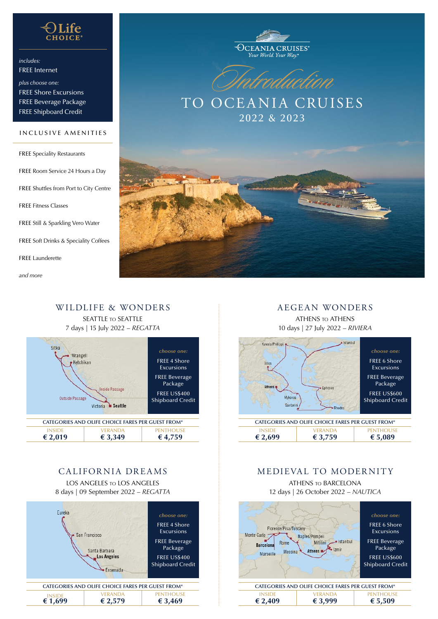

*includes:* FREE Internet

*plus choose one:* FREE Shore Excursions FREE Beverage Package FREE Shipboard Credit

#### INCLUSIVE AMENITIES

FREE Speciality Restaurants FREE Room Service 24 Hours a Day FREE Shuttles from Port to City Centre FREE Fitness Classes FREE Still & Sparkling Vero Water FREE Soft Drinks & Speciality Coffees FREE Launderette

*and more*





TO OCEANIA CRUISES 2022 & 2023



### WILDLIFE & WONDERS SEATTLE TO SEATTLE 7 days | 15 July 2022 – *REGATTA*



## CALIFORNIA DREAMS

LOS ANGELES to LOS ANGELES

8 days | 09 September 2022 – *REGATTA*



### AEGEAN WONDERS

ATHENS to ATHENS 10 days | 27 July 2022 – *RIVIERA*



## MEDIEVAL TO MODERNITY

ATHENS to BARCELONA 12 days | 26 October 2022 – *NAUTICA*

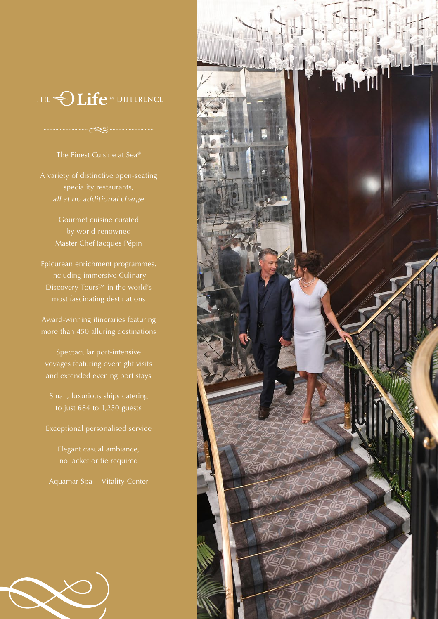# THE **OLIfe<sup>TM</sup>** DIFFERENCE

### The Finest Cuisine at Sea®

A variety of distinctive open-seating speciality restaurants, *all at no additional charge*

Master Chef Jacques Pépin

Epicurean enrichment programmes, including immersive Culinary most fascinating destinations

Award-winning itineraries featuring more than 450 alluring destinations

Spectacular port-intensive voyages featuring overnight visits and extended evening port stays

Small, luxurious ships catering to just 684 to 1,250 guests

Elegant casual ambiance, no jacket or tie required

Aquamar Spa + Vitality Center